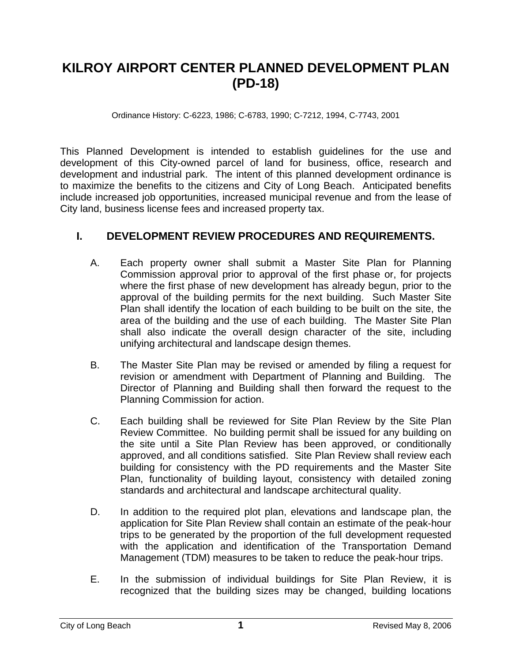# **KILROY AIRPORT CENTER PLANNED DEVELOPMENT PLAN (PD-18)**

Ordinance History: C-6223, 1986; C-6783, 1990; C-7212, 1994, C-7743, 2001

This Planned Development is intended to establish guidelines for the use and development of this City-owned parcel of land for business, office, research and development and industrial park. The intent of this planned development ordinance is to maximize the benefits to the citizens and City of Long Beach. Anticipated benefits include increased job opportunities, increased municipal revenue and from the lease of City land, business license fees and increased property tax.

# **I. DEVELOPMENT REVIEW PROCEDURES AND REQUIREMENTS.**

- A. Each property owner shall submit a Master Site Plan for Planning Commission approval prior to approval of the first phase or, for projects where the first phase of new development has already begun, prior to the approval of the building permits for the next building. Such Master Site Plan shall identify the location of each building to be built on the site, the area of the building and the use of each building. The Master Site Plan shall also indicate the overall design character of the site, including unifying architectural and landscape design themes.
- B. The Master Site Plan may be revised or amended by filing a request for revision or amendment with Department of Planning and Building. The Director of Planning and Building shall then forward the request to the Planning Commission for action.
- C. Each building shall be reviewed for Site Plan Review by the Site Plan Review Committee. No building permit shall be issued for any building on the site until a Site Plan Review has been approved, or conditionally approved, and all conditions satisfied. Site Plan Review shall review each building for consistency with the PD requirements and the Master Site Plan, functionality of building layout, consistency with detailed zoning standards and architectural and landscape architectural quality.
- D. In addition to the required plot plan, elevations and landscape plan, the application for Site Plan Review shall contain an estimate of the peak-hour trips to be generated by the proportion of the full development requested with the application and identification of the Transportation Demand Management (TDM) measures to be taken to reduce the peak-hour trips.
- E. In the submission of individual buildings for Site Plan Review, it is recognized that the building sizes may be changed, building locations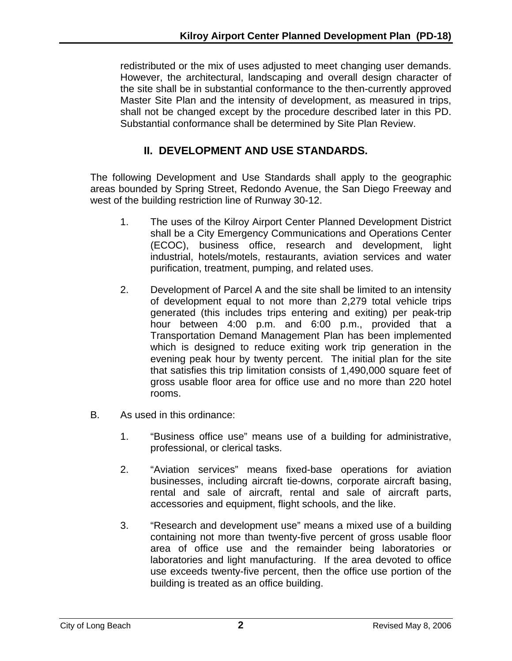redistributed or the mix of uses adjusted to meet changing user demands. However, the architectural, landscaping and overall design character of the site shall be in substantial conformance to the then-currently approved Master Site Plan and the intensity of development, as measured in trips, shall not be changed except by the procedure described later in this PD. Substantial conformance shall be determined by Site Plan Review.

# **II. DEVELOPMENT AND USE STANDARDS.**

The following Development and Use Standards shall apply to the geographic areas bounded by Spring Street, Redondo Avenue, the San Diego Freeway and west of the building restriction line of Runway 30-12.

- 1. The uses of the Kilroy Airport Center Planned Development District shall be a City Emergency Communications and Operations Center (ECOC), business office, research and development, light industrial, hotels/motels, restaurants, aviation services and water purification, treatment, pumping, and related uses.
- 2. Development of Parcel A and the site shall be limited to an intensity of development equal to not more than 2,279 total vehicle trips generated (this includes trips entering and exiting) per peak-trip hour between 4:00 p.m. and 6:00 p.m., provided that a Transportation Demand Management Plan has been implemented which is designed to reduce exiting work trip generation in the evening peak hour by twenty percent. The initial plan for the site that satisfies this trip limitation consists of 1,490,000 square feet of gross usable floor area for office use and no more than 220 hotel rooms.
- B. As used in this ordinance:
	- 1. "Business office use" means use of a building for administrative, professional, or clerical tasks.
	- 2. "Aviation services" means fixed-base operations for aviation businesses, including aircraft tie-downs, corporate aircraft basing, rental and sale of aircraft, rental and sale of aircraft parts, accessories and equipment, flight schools, and the like.
	- 3. "Research and development use" means a mixed use of a building containing not more than twenty-five percent of gross usable floor area of office use and the remainder being laboratories or laboratories and light manufacturing. If the area devoted to office use exceeds twenty-five percent, then the office use portion of the building is treated as an office building.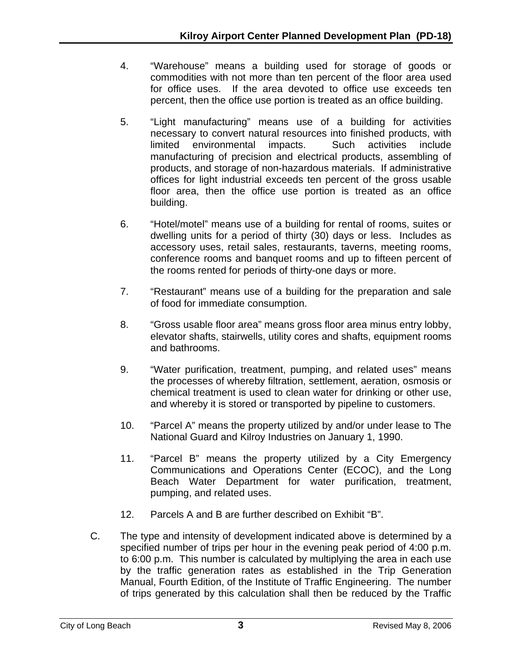- 4. "Warehouse" means a building used for storage of goods or commodities with not more than ten percent of the floor area used for office uses. If the area devoted to office use exceeds ten percent, then the office use portion is treated as an office building.
- 5. "Light manufacturing" means use of a building for activities necessary to convert natural resources into finished products, with limited environmental impacts. Such activities include manufacturing of precision and electrical products, assembling of products, and storage of non-hazardous materials. If administrative offices for light industrial exceeds ten percent of the gross usable floor area, then the office use portion is treated as an office building.
- 6. "Hotel/motel" means use of a building for rental of rooms, suites or dwelling units for a period of thirty (30) days or less. Includes as accessory uses, retail sales, restaurants, taverns, meeting rooms, conference rooms and banquet rooms and up to fifteen percent of the rooms rented for periods of thirty-one days or more.
- 7. "Restaurant" means use of a building for the preparation and sale of food for immediate consumption.
- 8. "Gross usable floor area" means gross floor area minus entry lobby, elevator shafts, stairwells, utility cores and shafts, equipment rooms and bathrooms.
- 9. "Water purification, treatment, pumping, and related uses" means the processes of whereby filtration, settlement, aeration, osmosis or chemical treatment is used to clean water for drinking or other use, and whereby it is stored or transported by pipeline to customers.
- 10. "Parcel A" means the property utilized by and/or under lease to The National Guard and Kilroy Industries on January 1, 1990.
- 11. "Parcel B" means the property utilized by a City Emergency Communications and Operations Center (ECOC), and the Long Beach Water Department for water purification, treatment, pumping, and related uses.
- 12. Parcels A and B are further described on Exhibit "B".
- C. The type and intensity of development indicated above is determined by a specified number of trips per hour in the evening peak period of 4:00 p.m. to 6:00 p.m. This number is calculated by multiplying the area in each use by the traffic generation rates as established in the Trip Generation Manual, Fourth Edition, of the Institute of Traffic Engineering. The number of trips generated by this calculation shall then be reduced by the Traffic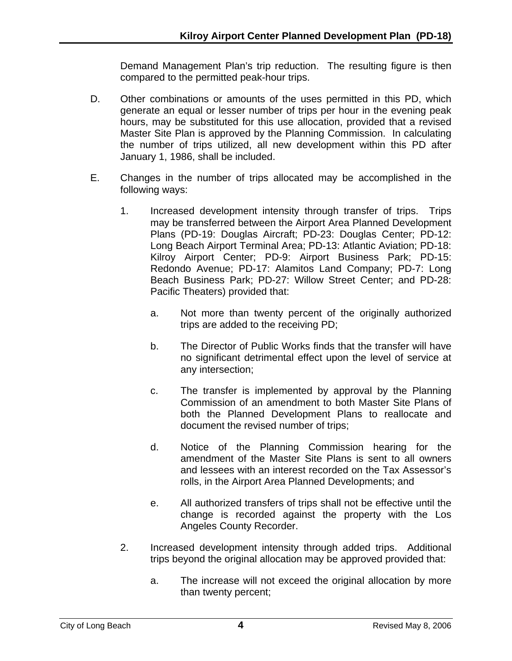Demand Management Plan's trip reduction. The resulting figure is then compared to the permitted peak-hour trips.

- D. Other combinations or amounts of the uses permitted in this PD, which generate an equal or lesser number of trips per hour in the evening peak hours, may be substituted for this use allocation, provided that a revised Master Site Plan is approved by the Planning Commission. In calculating the number of trips utilized, all new development within this PD after January 1, 1986, shall be included.
- E. Changes in the number of trips allocated may be accomplished in the following ways:
	- 1. Increased development intensity through transfer of trips. Trips may be transferred between the Airport Area Planned Development Plans (PD-19: Douglas Aircraft; PD-23: Douglas Center; PD-12: Long Beach Airport Terminal Area; PD-13: Atlantic Aviation; PD-18: Kilroy Airport Center; PD-9: Airport Business Park; PD-15: Redondo Avenue; PD-17: Alamitos Land Company; PD-7: Long Beach Business Park; PD-27: Willow Street Center; and PD-28: Pacific Theaters) provided that:
		- a. Not more than twenty percent of the originally authorized trips are added to the receiving PD;
		- b. The Director of Public Works finds that the transfer will have no significant detrimental effect upon the level of service at any intersection;
		- c. The transfer is implemented by approval by the Planning Commission of an amendment to both Master Site Plans of both the Planned Development Plans to reallocate and document the revised number of trips;
		- d. Notice of the Planning Commission hearing for the amendment of the Master Site Plans is sent to all owners and lessees with an interest recorded on the Tax Assessor's rolls, in the Airport Area Planned Developments; and
		- e. All authorized transfers of trips shall not be effective until the change is recorded against the property with the Los Angeles County Recorder.
	- 2. Increased development intensity through added trips. Additional trips beyond the original allocation may be approved provided that:
		- a. The increase will not exceed the original allocation by more than twenty percent;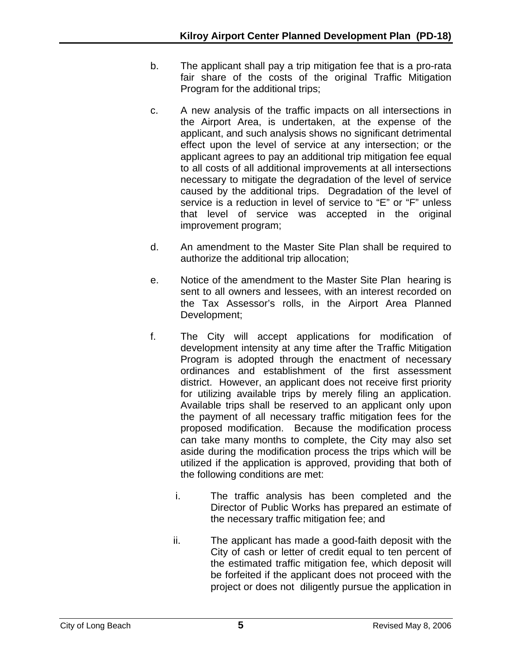- b. The applicant shall pay a trip mitigation fee that is a pro-rata fair share of the costs of the original Traffic Mitigation Program for the additional trips;
- c. A new analysis of the traffic impacts on all intersections in the Airport Area, is undertaken, at the expense of the applicant, and such analysis shows no significant detrimental effect upon the level of service at any intersection; or the applicant agrees to pay an additional trip mitigation fee equal to all costs of all additional improvements at all intersections necessary to mitigate the degradation of the level of service caused by the additional trips. Degradation of the level of service is a reduction in level of service to "E" or "F" unless that level of service was accepted in the original improvement program;
- d. An amendment to the Master Site Plan shall be required to authorize the additional trip allocation;
- e. Notice of the amendment to the Master Site Plan hearing is sent to all owners and lessees, with an interest recorded on the Tax Assessor's rolls, in the Airport Area Planned Development;
- f. The City will accept applications for modification of development intensity at any time after the Traffic Mitigation Program is adopted through the enactment of necessary ordinances and establishment of the first assessment district. However, an applicant does not receive first priority for utilizing available trips by merely filing an application. Available trips shall be reserved to an applicant only upon the payment of all necessary traffic mitigation fees for the proposed modification. Because the modification process can take many months to complete, the City may also set aside during the modification process the trips which will be utilized if the application is approved, providing that both of the following conditions are met:
	- i. The traffic analysis has been completed and the Director of Public Works has prepared an estimate of the necessary traffic mitigation fee; and
	- ii. The applicant has made a good-faith deposit with the City of cash or letter of credit equal to ten percent of the estimated traffic mitigation fee, which deposit will be forfeited if the applicant does not proceed with the project or does not diligently pursue the application in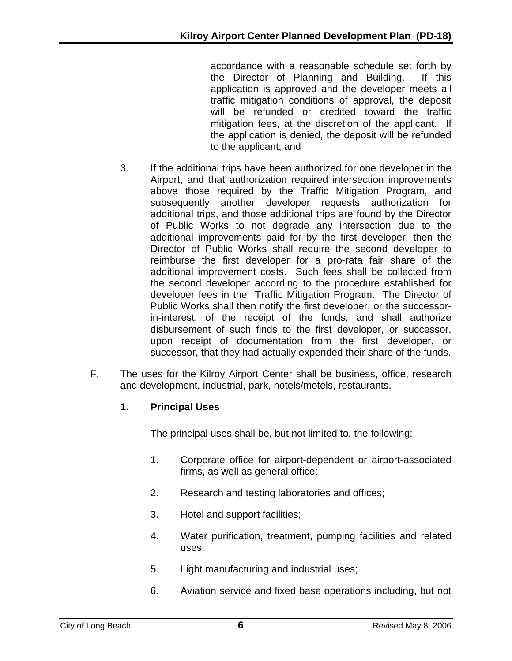accordance with a reasonable schedule set forth by the Director of Planning and Building. If this application is approved and the developer meets all traffic mitigation conditions of approval, the deposit will be refunded or credited toward the traffic mitigation fees, at the discretion of the applicant. If the application is denied, the deposit will be refunded to the applicant; and

- 3. If the additional trips have been authorized for one developer in the Airport, and that authorization required intersection improvements above those required by the Traffic Mitigation Program, and subsequently another developer requests authorization for additional trips, and those additional trips are found by the Director of Public Works to not degrade any intersection due to the additional improvements paid for by the first developer, then the Director of Public Works shall require the second developer to reimburse the first developer for a pro-rata fair share of the additional improvement costs. Such fees shall be collected from the second developer according to the procedure established for developer fees in the Traffic Mitigation Program. The Director of Public Works shall then notify the first developer, or the successorin-interest, of the receipt of the funds, and shall authorize disbursement of such finds to the first developer, or successor, upon receipt of documentation from the first developer, or successor, that they had actually expended their share of the funds.
- F. The uses for the Kilroy Airport Center shall be business, office, research and development, industrial, park, hotels/motels, restaurants.

# **1. Principal Uses**

The principal uses shall be, but not limited to, the following:

- 1. Corporate office for airport-dependent or airport-associated firms, as well as general office;
- 2. Research and testing laboratories and offices;
- 3. Hotel and support facilities;
- 4. Water purification, treatment, pumping facilities and related uses;
- 5. Light manufacturing and industrial uses;
- 6. Aviation service and fixed base operations including, but not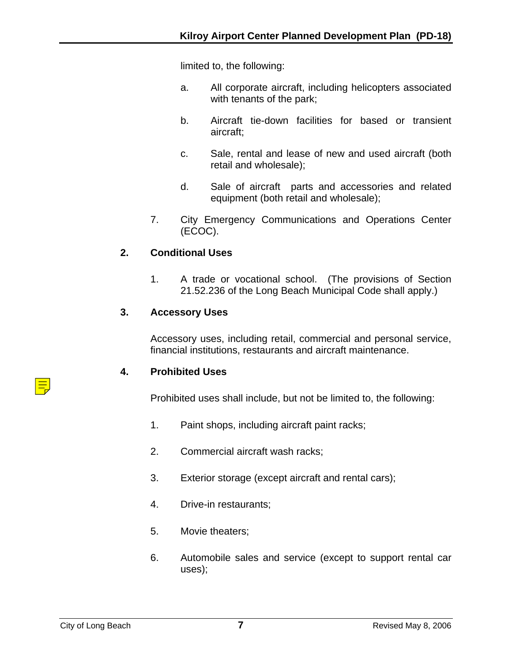limited to, the following:

- a. All corporate aircraft, including helicopters associated with tenants of the park;
- b. Aircraft tie-down facilities for based or transient aircraft;
- c. Sale, rental and lease of new and used aircraft (both retail and wholesale);
- d. Sale of aircraft parts and accessories and related equipment (both retail and wholesale);
- 7. City Emergency Communications and Operations Center (ECOC).

#### **2. Conditional Uses**

1. A trade or vocational school. (The provisions of Section 21.52.236 of the Long Beach Municipal Code shall apply.)

#### **3. Accessory Uses**

Accessory uses, including retail, commercial and personal service, financial institutions, restaurants and aircraft maintenance.

#### **4. Prohibited Uses**

Prohibited uses shall include, but not be limited to, the following:

- 1. Paint shops, including aircraft paint racks;
- 2. Commercial aircraft wash racks;
- 3. Exterior storage (except aircraft and rental cars);
- 4. Drive-in restaurants;
- 5. Movie theaters;
- 6. Automobile sales and service (except to support rental car uses);

亖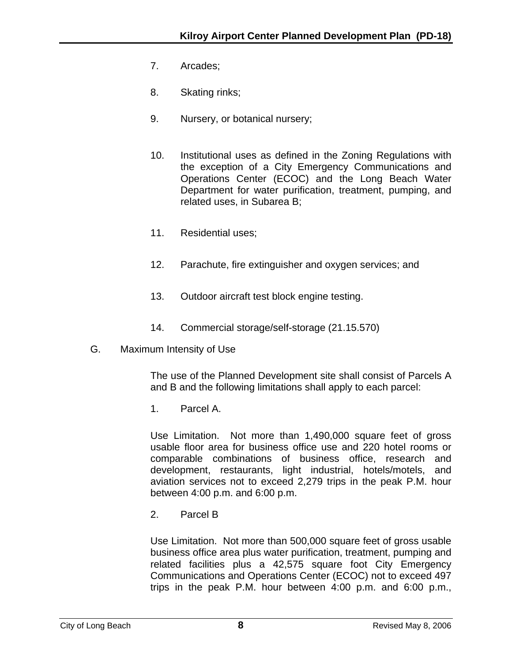- 7. Arcades;
- 8. Skating rinks;
- 9. Nursery, or botanical nursery;
- 10. Institutional uses as defined in the Zoning Regulations with the exception of a City Emergency Communications and Operations Center (ECOC) and the Long Beach Water Department for water purification, treatment, pumping, and related uses, in Subarea B;
- 11. Residential uses;
- 12. Parachute, fire extinguisher and oxygen services; and
- 13. Outdoor aircraft test block engine testing.
- 14. Commercial storage/self-storage (21.15.570)
- G. Maximum Intensity of Use

The use of the Planned Development site shall consist of Parcels A and B and the following limitations shall apply to each parcel:

1. Parcel A.

Use Limitation. Not more than 1,490,000 square feet of gross usable floor area for business office use and 220 hotel rooms or comparable combinations of business office, research and development, restaurants, light industrial, hotels/motels, and aviation services not to exceed 2,279 trips in the peak P.M. hour between 4:00 p.m. and 6:00 p.m.

2. Parcel B

Use Limitation. Not more than 500,000 square feet of gross usable business office area plus water purification, treatment, pumping and related facilities plus a 42,575 square foot City Emergency Communications and Operations Center (ECOC) not to exceed 497 trips in the peak P.M. hour between 4:00 p.m. and 6:00 p.m.,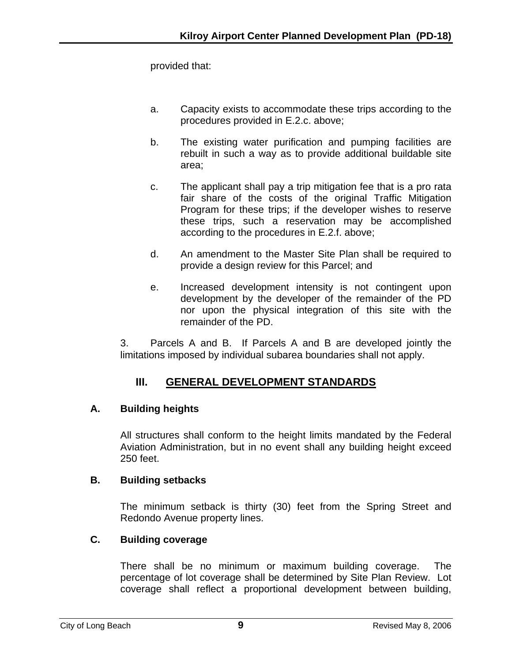provided that:

- a. Capacity exists to accommodate these trips according to the procedures provided in E.2.c. above;
- b. The existing water purification and pumping facilities are rebuilt in such a way as to provide additional buildable site area;
- c. The applicant shall pay a trip mitigation fee that is a pro rata fair share of the costs of the original Traffic Mitigation Program for these trips; if the developer wishes to reserve these trips, such a reservation may be accomplished according to the procedures in E.2.f. above;
- d. An amendment to the Master Site Plan shall be required to provide a design review for this Parcel; and
- e. Increased development intensity is not contingent upon development by the developer of the remainder of the PD nor upon the physical integration of this site with the remainder of the PD.

3. Parcels A and B. If Parcels A and B are developed jointly the limitations imposed by individual subarea boundaries shall not apply.

# **III. GENERAL DEVELOPMENT STANDARDS**

# **A. Building heights**

All structures shall conform to the height limits mandated by the Federal Aviation Administration, but in no event shall any building height exceed 250 feet.

# **B. Building setbacks**

The minimum setback is thirty (30) feet from the Spring Street and Redondo Avenue property lines.

# **C. Building coverage**

There shall be no minimum or maximum building coverage. The percentage of lot coverage shall be determined by Site Plan Review. Lot coverage shall reflect a proportional development between building,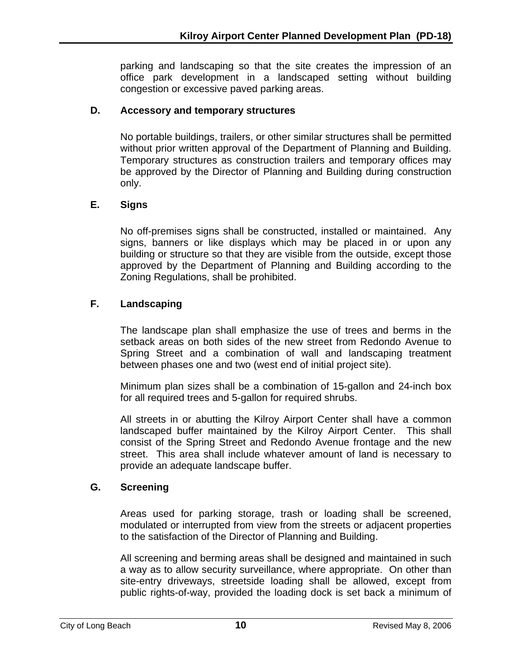parking and landscaping so that the site creates the impression of an office park development in a landscaped setting without building congestion or excessive paved parking areas.

#### **D. Accessory and temporary structures**

No portable buildings, trailers, or other similar structures shall be permitted without prior written approval of the Department of Planning and Building. Temporary structures as construction trailers and temporary offices may be approved by the Director of Planning and Building during construction only.

## **E. Signs**

No off-premises signs shall be constructed, installed or maintained. Any signs, banners or like displays which may be placed in or upon any building or structure so that they are visible from the outside, except those approved by the Department of Planning and Building according to the Zoning Regulations, shall be prohibited.

## **F. Landscaping**

The landscape plan shall emphasize the use of trees and berms in the setback areas on both sides of the new street from Redondo Avenue to Spring Street and a combination of wall and landscaping treatment between phases one and two (west end of initial project site).

Minimum plan sizes shall be a combination of 15-gallon and 24-inch box for all required trees and 5-gallon for required shrubs.

All streets in or abutting the Kilroy Airport Center shall have a common landscaped buffer maintained by the Kilroy Airport Center. This shall consist of the Spring Street and Redondo Avenue frontage and the new street. This area shall include whatever amount of land is necessary to provide an adequate landscape buffer.

#### **G. Screening**

Areas used for parking storage, trash or loading shall be screened, modulated or interrupted from view from the streets or adjacent properties to the satisfaction of the Director of Planning and Building.

All screening and berming areas shall be designed and maintained in such a way as to allow security surveillance, where appropriate. On other than site-entry driveways, streetside loading shall be allowed, except from public rights-of-way, provided the loading dock is set back a minimum of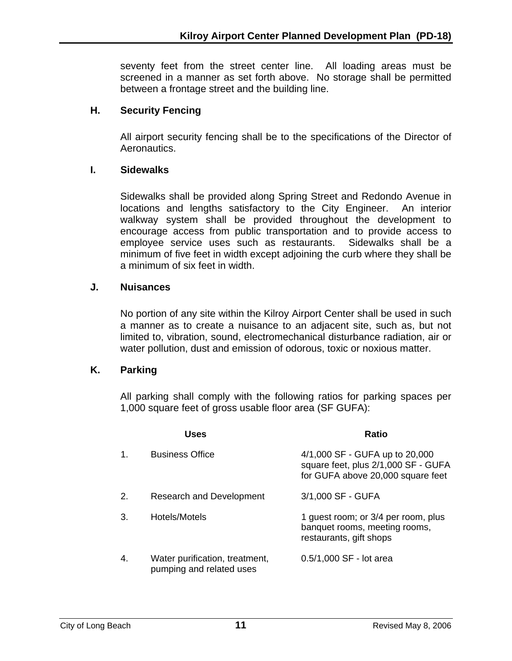seventy feet from the street center line. All loading areas must be screened in a manner as set forth above. No storage shall be permitted between a frontage street and the building line.

## **H. Security Fencing**

All airport security fencing shall be to the specifications of the Director of Aeronautics.

#### **I. Sidewalks**

Sidewalks shall be provided along Spring Street and Redondo Avenue in locations and lengths satisfactory to the City Engineer. An interior walkway system shall be provided throughout the development to encourage access from public transportation and to provide access to employee service uses such as restaurants. Sidewalks shall be a minimum of five feet in width except adjoining the curb where they shall be a minimum of six feet in width.

## **J. Nuisances**

No portion of any site within the Kilroy Airport Center shall be used in such a manner as to create a nuisance to an adjacent site, such as, but not limited to, vibration, sound, electromechanical disturbance radiation, air or water pollution, dust and emission of odorous, toxic or noxious matter.

#### **K. Parking**

All parking shall comply with the following ratios for parking spaces per 1,000 square feet of gross usable floor area (SF GUFA):

|    | Uses                                                       | <b>Ratio</b>                                                                                               |
|----|------------------------------------------------------------|------------------------------------------------------------------------------------------------------------|
| 1. | <b>Business Office</b>                                     | 4/1,000 SF - GUFA up to 20,000<br>square feet, plus 2/1,000 SF - GUFA<br>for GUFA above 20,000 square feet |
| 2. | <b>Research and Development</b>                            | 3/1,000 SF - GUFA                                                                                          |
| 3. | Hotels/Motels                                              | 1 guest room; or 3/4 per room, plus<br>banquet rooms, meeting rooms,<br>restaurants, gift shops            |
| 4. | Water purification, treatment,<br>pumping and related uses | 0.5/1,000 SF - lot area                                                                                    |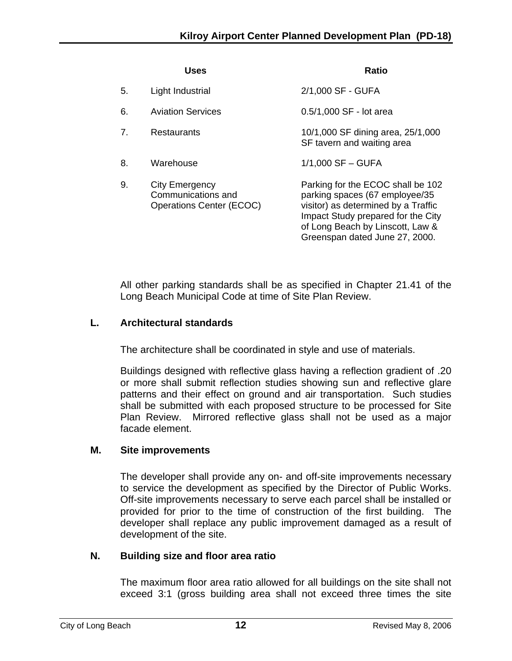|                | Uses                                                                    | Ratio                                                                                                                                                                                                                  |
|----------------|-------------------------------------------------------------------------|------------------------------------------------------------------------------------------------------------------------------------------------------------------------------------------------------------------------|
| 5.             | Light Industrial                                                        | 2/1,000 SF - GUFA                                                                                                                                                                                                      |
| 6.             | <b>Aviation Services</b>                                                | 0.5/1,000 SF - lot area                                                                                                                                                                                                |
| 7 <sub>1</sub> | <b>Restaurants</b>                                                      | 10/1,000 SF dining area, 25/1,000<br>SF tavern and waiting area                                                                                                                                                        |
| 8.             | Warehouse                                                               | $1/1,000$ SF $-$ GUFA                                                                                                                                                                                                  |
| 9.             | City Emergency<br>Communications and<br><b>Operations Center (ECOC)</b> | Parking for the ECOC shall be 102<br>parking spaces (67 employee/35<br>visitor) as determined by a Traffic<br>Impact Study prepared for the City<br>of Long Beach by Linscott, Law &<br>Greenspan dated June 27, 2000. |

All other parking standards shall be as specified in Chapter 21.41 of the Long Beach Municipal Code at time of Site Plan Review.

# **L. Architectural standards**

The architecture shall be coordinated in style and use of materials.

Buildings designed with reflective glass having a reflection gradient of .20 or more shall submit reflection studies showing sun and reflective glare patterns and their effect on ground and air transportation. Such studies shall be submitted with each proposed structure to be processed for Site Plan Review. Mirrored reflective glass shall not be used as a major facade element.

#### **M. Site improvements**

The developer shall provide any on- and off-site improvements necessary to service the development as specified by the Director of Public Works. Off-site improvements necessary to serve each parcel shall be installed or provided for prior to the time of construction of the first building. The developer shall replace any public improvement damaged as a result of development of the site.

#### **N. Building size and floor area ratio**

The maximum floor area ratio allowed for all buildings on the site shall not exceed 3:1 (gross building area shall not exceed three times the site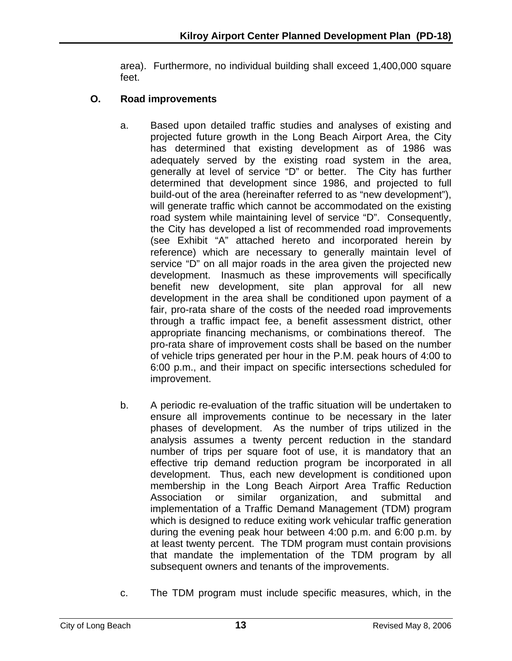area). Furthermore, no individual building shall exceed 1,400,000 square feet.

# **O. Road improvements**

- a. Based upon detailed traffic studies and analyses of existing and projected future growth in the Long Beach Airport Area, the City has determined that existing development as of 1986 was adequately served by the existing road system in the area, generally at level of service "D" or better. The City has further determined that development since 1986, and projected to full build-out of the area (hereinafter referred to as "new development"), will generate traffic which cannot be accommodated on the existing road system while maintaining level of service "D". Consequently, the City has developed a list of recommended road improvements (see Exhibit "A" attached hereto and incorporated herein by reference) which are necessary to generally maintain level of service "D" on all major roads in the area given the projected new development. Inasmuch as these improvements will specifically benefit new development, site plan approval for all new development in the area shall be conditioned upon payment of a fair, pro-rata share of the costs of the needed road improvements through a traffic impact fee, a benefit assessment district, other appropriate financing mechanisms, or combinations thereof. The pro-rata share of improvement costs shall be based on the number of vehicle trips generated per hour in the P.M. peak hours of 4:00 to 6:00 p.m., and their impact on specific intersections scheduled for improvement.
- b. A periodic re-evaluation of the traffic situation will be undertaken to ensure all improvements continue to be necessary in the later phases of development. As the number of trips utilized in the analysis assumes a twenty percent reduction in the standard number of trips per square foot of use, it is mandatory that an effective trip demand reduction program be incorporated in all development. Thus, each new development is conditioned upon membership in the Long Beach Airport Area Traffic Reduction Association or similar organization, and submittal and implementation of a Traffic Demand Management (TDM) program which is designed to reduce exiting work vehicular traffic generation during the evening peak hour between 4:00 p.m. and 6:00 p.m. by at least twenty percent. The TDM program must contain provisions that mandate the implementation of the TDM program by all subsequent owners and tenants of the improvements.
- c. The TDM program must include specific measures, which, in the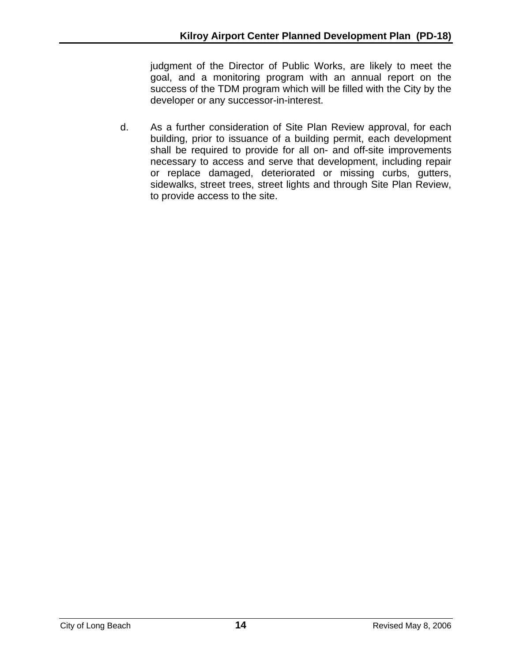judgment of the Director of Public Works, are likely to meet the goal, and a monitoring program with an annual report on the success of the TDM program which will be filled with the City by the developer or any successor-in-interest.

d. As a further consideration of Site Plan Review approval, for each building, prior to issuance of a building permit, each development shall be required to provide for all on- and off-site improvements necessary to access and serve that development, including repair or replace damaged, deteriorated or missing curbs, gutters, sidewalks, street trees, street lights and through Site Plan Review, to provide access to the site.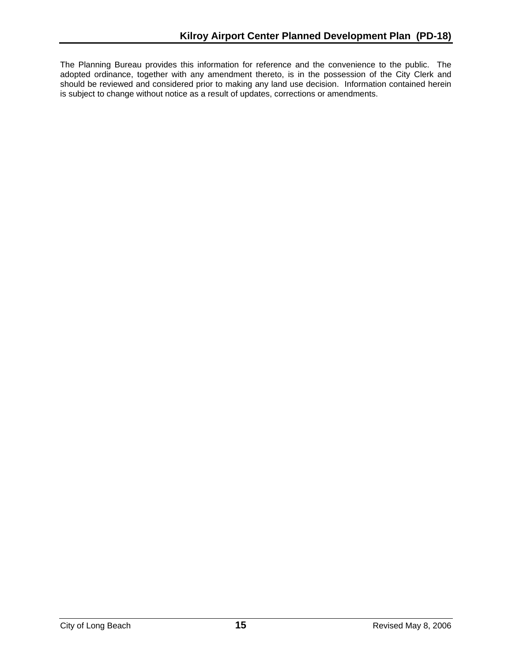The Planning Bureau provides this information for reference and the convenience to the public. The adopted ordinance, together with any amendment thereto, is in the possession of the City Clerk and should be reviewed and considered prior to making any land use decision. Information contained herein is subject to change without notice as a result of updates, corrections or amendments.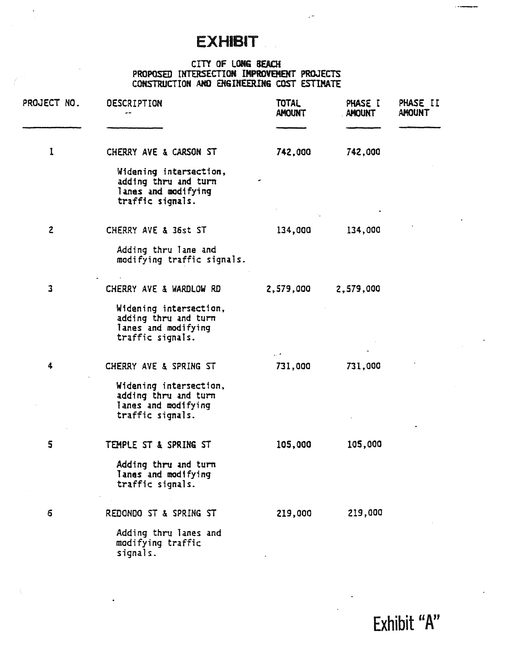# **EXHIBIT**

#### CITY OF LONG BEACH PROPOSED UITTRS£CTION IMPROVEMENT PROJECTS CONSTRUCTION AHO EMSIMEERIMG COST ESTIMATE

 $\ddot{\phantom{1}}$ 

| PROJECT NO.             | DESCRIPTION                                                                               | <b>TOTAL</b><br><b>AMOUNT</b> | PHASE I<br><b>AMOUNT</b> | PHASE II<br><b>AMOUNT</b> |
|-------------------------|-------------------------------------------------------------------------------------------|-------------------------------|--------------------------|---------------------------|
| 1                       | CHERRY AVE & CARSON ST                                                                    | 742,000                       | 742,000                  |                           |
|                         | Widening intersection,<br>adding thru and turn<br>lanes and modifying<br>traffic signals. |                               |                          |                           |
| $\overline{c}$          | CHERRY AVE & 36st ST                                                                      | 134,000                       | 134,000                  |                           |
|                         | Adding thru lane and<br>modifying traffic signals.                                        |                               |                          |                           |
| $\overline{\mathbf{3}}$ | CHERRY AVE & WARDLOW RD                                                                   | 2,579,000                     | 2,579,000                |                           |
|                         | Widening intersection,<br>adding thru and turn<br>lanes and modifying<br>traffic signals. |                               |                          |                           |
| 4                       | CHERRY AVE & SPRING ST                                                                    | 731,000                       | 731,000                  |                           |
|                         | Widening intersection,<br>adding thru and turn<br>lanes and modifying<br>traffic signals. |                               |                          |                           |
| $\mathsf{S}$            | TEMPLE ST & SPRING ST                                                                     | 105,000                       | 105,000                  |                           |
|                         | Adding thru and turn<br>lanes and modifying<br>traffic signals.                           |                               |                          |                           |
| 6                       | REDONDO ST & SPRING ST                                                                    | 219,000                       | 219,000                  |                           |
|                         | Adding thru lanes and<br>modifying traffic<br>signals.                                    |                               |                          |                           |

Exhibit "A"

 $\overline{\phantom{a}}$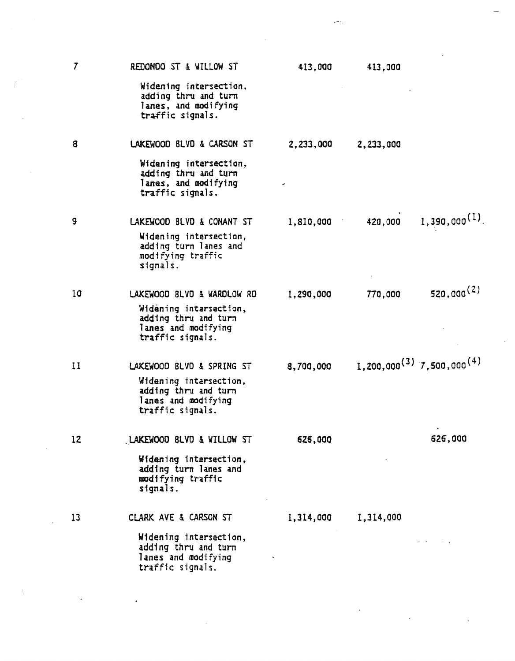|    |                                                                                            | Je 11     |           |                                            |  |
|----|--------------------------------------------------------------------------------------------|-----------|-----------|--------------------------------------------|--|
| 7  | REDONDO ST & WILLOW ST                                                                     | 413,000   | 413,000   |                                            |  |
|    | Widening intersection,<br>adding thru and turn<br>lanes, and modifying<br>traffic signals. |           |           |                                            |  |
| 8  | LAKEWOOD BLVD & CARSON ST                                                                  | 2,233,000 | 2,233,000 |                                            |  |
|    | Widening intersection,<br>adding thru and turn<br>lanes, and modifying<br>traffic signals. |           |           |                                            |  |
| 9  | LAKEWOOD BLVD & CONANT ST                                                                  | 1,810,000 | 420,000   | $1,390,000^{(1)}$ .                        |  |
|    | Widening intersection,<br>adding turn lanes and<br>modifying traffic<br>signals.           |           |           |                                            |  |
| 10 | LAKEWOOD BLVD & WARDLOW RD                                                                 | 1,290,000 | 770,000   | $520,000^{(2)}$                            |  |
|    | Widening intersection,<br>adding thru and turn<br>lanes and modifying<br>traffic signals.  |           |           |                                            |  |
| 11 | LAKEWOOD BLVD & SPRING ST                                                                  | 8,700,000 |           | $1,200,000^{(3)}$ 7,500,000 <sup>(4)</sup> |  |
|    | Widening intersection,<br>adding thru and turn<br>lanes and modifying<br>traffic signals.  |           |           |                                            |  |
| 12 | LAKEWOOD BLVD & WILLOW ST                                                                  | 626,000   |           | 626,000                                    |  |
|    | Widening intersection,<br>adding turn lanes and<br>modifying traffic<br>signals.           |           |           |                                            |  |
| 13 | CLARK AVE & CARSON ST                                                                      | 1,314,000 | 1,314,000 |                                            |  |
|    | Widening intersection,<br>adding thru and turn<br>lanes and modifying<br>traffic signals.  |           |           |                                            |  |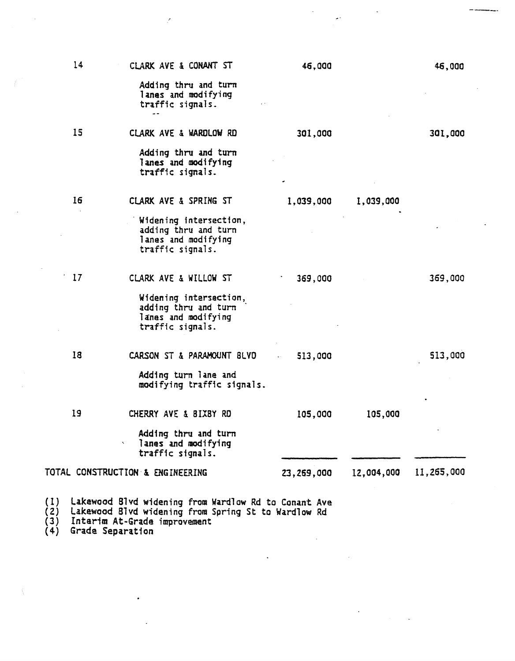|                   | 14 | CLARK AVE & CONANT ST                                                                                                                       | 46,000                      |            | 46,000     |
|-------------------|----|---------------------------------------------------------------------------------------------------------------------------------------------|-----------------------------|------------|------------|
|                   |    | Adding thru and turn<br>lanes and modifying<br>traffic signals.                                                                             |                             |            |            |
|                   | 15 | CLARK AVE & WARDLOW RD                                                                                                                      | 301,000                     |            | 301,000    |
|                   |    | Adding thru and turn<br>lanes and modifying<br>traffic signals.                                                                             |                             |            |            |
|                   | 16 | CLARK AVE & SPRING ST                                                                                                                       | 1,039,000                   | 1,039,000  |            |
|                   |    | Widening intersection,<br>adding thru and turn<br>lanes and modifying<br>traffic signals.                                                   |                             |            |            |
|                   | 17 | CLARK AVE & WILLOW ST                                                                                                                       | 369,000                     |            | 369,000    |
|                   |    | Widening intersection,<br>adding thru and turn<br>lanes and modifying<br>traffic signals.                                                   |                             |            |            |
|                   | 18 | CARSON ST & PARAMOUNT BLVD                                                                                                                  | 513,000<br>$\bullet$ $\sim$ |            | 513,000    |
|                   |    | Adding turn lane and<br>modifying traffic signals.                                                                                          |                             |            |            |
|                   | 19 | CHERRY AVE & BIXBY RD                                                                                                                       | 105,000                     | 105,000    |            |
|                   |    | Adding thru and turn<br>lanes and modifying<br>÷<br>traffic signals.                                                                        |                             |            |            |
|                   |    | TOTAL CONSTRUCTION & ENGINEERING                                                                                                            | 23,269,000                  | 12,004,000 | 11,265,000 |
| (1)<br>(2)<br>(3) |    | Lakewood Blvd widening from Wardlow Rd to Conant Ave<br>Lakewood Blvd widening from Spring St to Wardlow Rd<br>Intarim At-Grade improvement |                             |            |            |

 $\overline{1}$ 

(4) Grade Separation